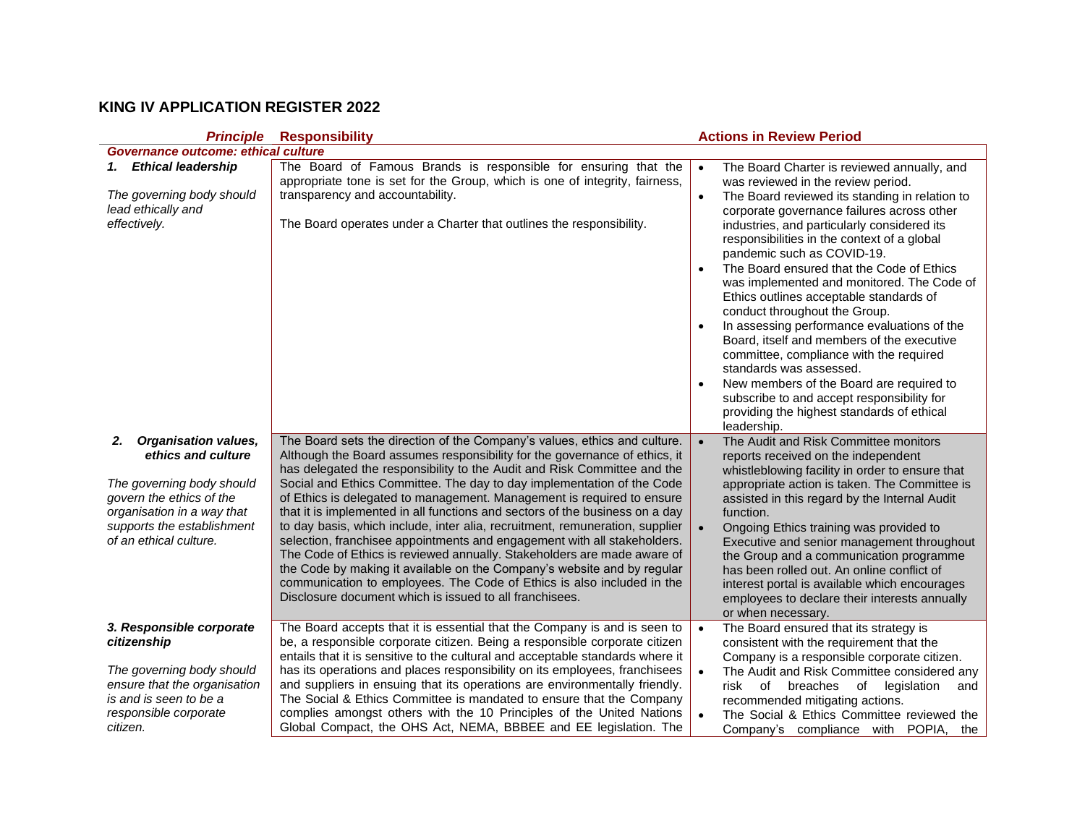## **KING IV APPLICATION REGISTER 2022**

|                                                                                                                                                                                                        | <b>Principle Responsibility</b>                                                                                                                                                                                                                                                                                                                                                                                                                                                                                                                                                                                                                                                                                                                                                                                                                                                                                                | <b>Actions in Review Period</b>                                                                                                                                                                                                                                                                                                                                                                                                                                                                                                                                                                                                                                                                                                                                                                                             |
|--------------------------------------------------------------------------------------------------------------------------------------------------------------------------------------------------------|--------------------------------------------------------------------------------------------------------------------------------------------------------------------------------------------------------------------------------------------------------------------------------------------------------------------------------------------------------------------------------------------------------------------------------------------------------------------------------------------------------------------------------------------------------------------------------------------------------------------------------------------------------------------------------------------------------------------------------------------------------------------------------------------------------------------------------------------------------------------------------------------------------------------------------|-----------------------------------------------------------------------------------------------------------------------------------------------------------------------------------------------------------------------------------------------------------------------------------------------------------------------------------------------------------------------------------------------------------------------------------------------------------------------------------------------------------------------------------------------------------------------------------------------------------------------------------------------------------------------------------------------------------------------------------------------------------------------------------------------------------------------------|
| Governance outcome: ethical culture                                                                                                                                                                    |                                                                                                                                                                                                                                                                                                                                                                                                                                                                                                                                                                                                                                                                                                                                                                                                                                                                                                                                |                                                                                                                                                                                                                                                                                                                                                                                                                                                                                                                                                                                                                                                                                                                                                                                                                             |
| 1. Ethical leadership<br>The governing body should<br>lead ethically and<br>effectively.                                                                                                               | The Board of Famous Brands is responsible for ensuring that the<br>appropriate tone is set for the Group, which is one of integrity, fairness,<br>transparency and accountability.<br>The Board operates under a Charter that outlines the responsibility.                                                                                                                                                                                                                                                                                                                                                                                                                                                                                                                                                                                                                                                                     | The Board Charter is reviewed annually, and<br>was reviewed in the review period.<br>The Board reviewed its standing in relation to<br>$\bullet$<br>corporate governance failures across other<br>industries, and particularly considered its<br>responsibilities in the context of a global<br>pandemic such as COVID-19.<br>The Board ensured that the Code of Ethics<br>was implemented and monitored. The Code of<br>Ethics outlines acceptable standards of<br>conduct throughout the Group.<br>In assessing performance evaluations of the<br>Board, itself and members of the executive<br>committee, compliance with the required<br>standards was assessed.<br>New members of the Board are required to<br>subscribe to and accept responsibility for<br>providing the highest standards of ethical<br>leadership. |
| <b>Organisation values,</b><br>2.<br>ethics and culture<br>The governing body should<br>govern the ethics of the<br>organisation in a way that<br>supports the establishment<br>of an ethical culture. | The Board sets the direction of the Company's values, ethics and culture.<br>Although the Board assumes responsibility for the governance of ethics, it<br>has delegated the responsibility to the Audit and Risk Committee and the<br>Social and Ethics Committee. The day to day implementation of the Code<br>of Ethics is delegated to management. Management is required to ensure<br>that it is implemented in all functions and sectors of the business on a day<br>to day basis, which include, inter alia, recruitment, remuneration, supplier<br>selection, franchisee appointments and engagement with all stakeholders.<br>The Code of Ethics is reviewed annually. Stakeholders are made aware of<br>the Code by making it available on the Company's website and by regular<br>communication to employees. The Code of Ethics is also included in the<br>Disclosure document which is issued to all franchisees. | The Audit and Risk Committee monitors<br>$\bullet$<br>reports received on the independent<br>whistleblowing facility in order to ensure that<br>appropriate action is taken. The Committee is<br>assisted in this regard by the Internal Audit<br>function.<br>Ongoing Ethics training was provided to<br>Executive and senior management throughout<br>the Group and a communication programme<br>has been rolled out. An online conflict of<br>interest portal is available which encourages<br>employees to declare their interests annually<br>or when necessary.                                                                                                                                                                                                                                                       |
| 3. Responsible corporate<br>citizenship<br>The governing body should<br>ensure that the organisation<br>is and is seen to be a<br>responsible corporate<br>citizen.                                    | The Board accepts that it is essential that the Company is and is seen to<br>be, a responsible corporate citizen. Being a responsible corporate citizen<br>entails that it is sensitive to the cultural and acceptable standards where it<br>has its operations and places responsibility on its employees, franchisees<br>and suppliers in ensuing that its operations are environmentally friendly.<br>The Social & Ethics Committee is mandated to ensure that the Company<br>complies amongst others with the 10 Principles of the United Nations<br>Global Compact, the OHS Act, NEMA, BBBEE and EE legislation. The                                                                                                                                                                                                                                                                                                      | The Board ensured that its strategy is<br>consistent with the requirement that the<br>Company is a responsible corporate citizen.<br>The Audit and Risk Committee considered any<br>risk of breaches of legislation<br>and<br>recommended mitigating actions.<br>The Social & Ethics Committee reviewed the<br>Company's compliance with POPIA, the                                                                                                                                                                                                                                                                                                                                                                                                                                                                         |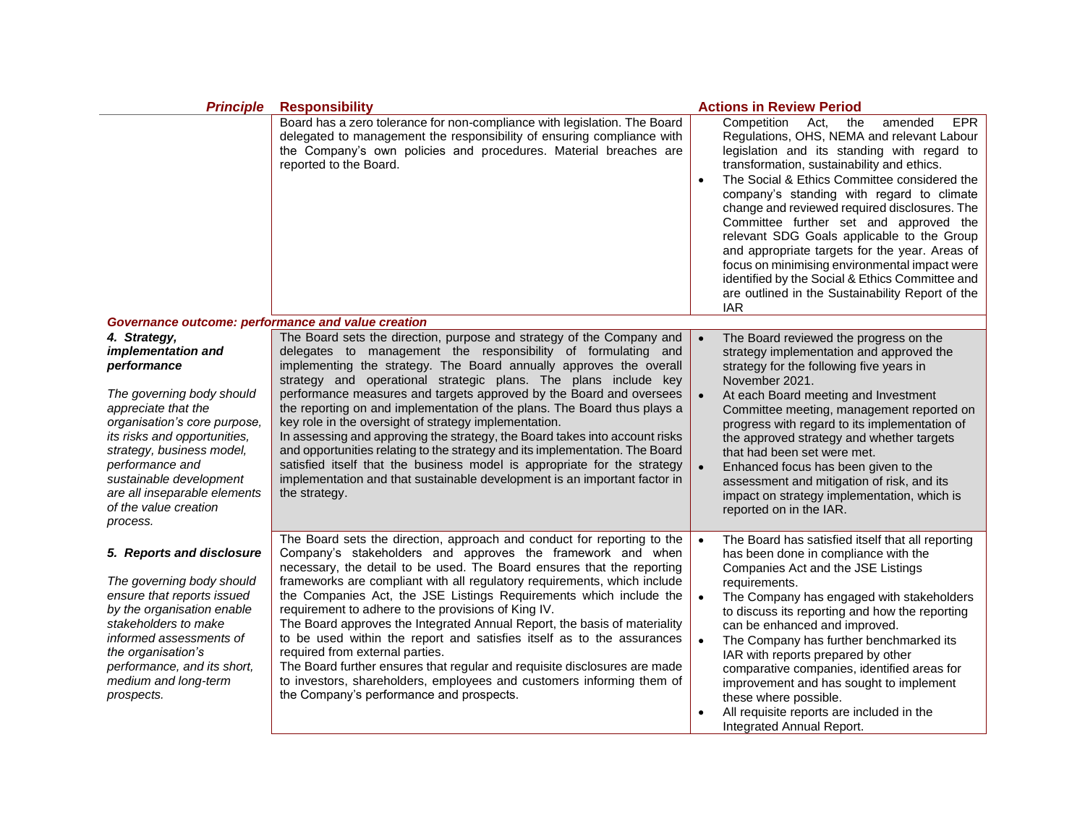| <b>Principle</b>                                                                                                                                                                                                                                                                                                      | <b>Responsibility</b>                                                                                                                                                                                                                                                                                                                                                                                                                                                                                                                                                                                                                                                                                                                                                                                                                | <b>Actions in Review Period</b>                                                                                                                                                                                                                                                                                                                                                                                                                                                                                                                                                                                                                                           |
|-----------------------------------------------------------------------------------------------------------------------------------------------------------------------------------------------------------------------------------------------------------------------------------------------------------------------|--------------------------------------------------------------------------------------------------------------------------------------------------------------------------------------------------------------------------------------------------------------------------------------------------------------------------------------------------------------------------------------------------------------------------------------------------------------------------------------------------------------------------------------------------------------------------------------------------------------------------------------------------------------------------------------------------------------------------------------------------------------------------------------------------------------------------------------|---------------------------------------------------------------------------------------------------------------------------------------------------------------------------------------------------------------------------------------------------------------------------------------------------------------------------------------------------------------------------------------------------------------------------------------------------------------------------------------------------------------------------------------------------------------------------------------------------------------------------------------------------------------------------|
|                                                                                                                                                                                                                                                                                                                       | Board has a zero tolerance for non-compliance with legislation. The Board<br>delegated to management the responsibility of ensuring compliance with<br>the Company's own policies and procedures. Material breaches are<br>reported to the Board.                                                                                                                                                                                                                                                                                                                                                                                                                                                                                                                                                                                    | Competition<br>Act,<br>the<br>amended<br><b>EPR</b><br>Regulations, OHS, NEMA and relevant Labour<br>legislation and its standing with regard to<br>transformation, sustainability and ethics.<br>The Social & Ethics Committee considered the<br>$\bullet$<br>company's standing with regard to climate<br>change and reviewed required disclosures. The<br>Committee further set and approved the<br>relevant SDG Goals applicable to the Group<br>and appropriate targets for the year. Areas of<br>focus on minimising environmental impact were<br>identified by the Social & Ethics Committee and<br>are outlined in the Sustainability Report of the<br><b>IAR</b> |
| Governance outcome: performance and value creation                                                                                                                                                                                                                                                                    |                                                                                                                                                                                                                                                                                                                                                                                                                                                                                                                                                                                                                                                                                                                                                                                                                                      |                                                                                                                                                                                                                                                                                                                                                                                                                                                                                                                                                                                                                                                                           |
| 4. Strategy,<br>implementation and<br>performance<br>The governing body should<br>appreciate that the<br>organisation's core purpose,<br>its risks and opportunities,<br>strategy, business model,<br>performance and<br>sustainable development<br>are all inseparable elements<br>of the value creation<br>process. | The Board sets the direction, purpose and strategy of the Company and<br>delegates to management the responsibility of formulating and<br>implementing the strategy. The Board annually approves the overall<br>strategy and operational strategic plans. The plans include key<br>performance measures and targets approved by the Board and oversees<br>the reporting on and implementation of the plans. The Board thus plays a<br>key role in the oversight of strategy implementation.<br>In assessing and approving the strategy, the Board takes into account risks<br>and opportunities relating to the strategy and its implementation. The Board<br>satisfied itself that the business model is appropriate for the strategy<br>implementation and that sustainable development is an important factor in<br>the strategy. | The Board reviewed the progress on the<br>strategy implementation and approved the<br>strategy for the following five years in<br>November 2021.<br>At each Board meeting and Investment<br>Committee meeting, management reported on<br>progress with regard to its implementation of<br>the approved strategy and whether targets<br>that had been set were met.<br>Enhanced focus has been given to the<br>assessment and mitigation of risk, and its<br>impact on strategy implementation, which is<br>reported on in the IAR.                                                                                                                                        |
| 5. Reports and disclosure<br>The governing body should<br>ensure that reports issued<br>by the organisation enable<br>stakeholders to make<br>informed assessments of<br>the organisation's<br>performance, and its short,<br>medium and long-term<br>prospects.                                                      | The Board sets the direction, approach and conduct for reporting to the<br>Company's stakeholders and approves the framework and when<br>necessary, the detail to be used. The Board ensures that the reporting<br>frameworks are compliant with all regulatory requirements, which include<br>the Companies Act, the JSE Listings Requirements which include the<br>requirement to adhere to the provisions of King IV.<br>The Board approves the Integrated Annual Report, the basis of materiality<br>to be used within the report and satisfies itself as to the assurances<br>required from external parties.<br>The Board further ensures that regular and requisite disclosures are made<br>to investors, shareholders, employees and customers informing them of<br>the Company's performance and prospects.                 | The Board has satisfied itself that all reporting<br>has been done in compliance with the<br>Companies Act and the JSE Listings<br>requirements.<br>The Company has engaged with stakeholders<br>$\bullet$<br>to discuss its reporting and how the reporting<br>can be enhanced and improved.<br>The Company has further benchmarked its<br>$\bullet$<br>IAR with reports prepared by other<br>comparative companies, identified areas for<br>improvement and has sought to implement<br>these where possible.<br>All requisite reports are included in the<br>Integrated Annual Report.                                                                                  |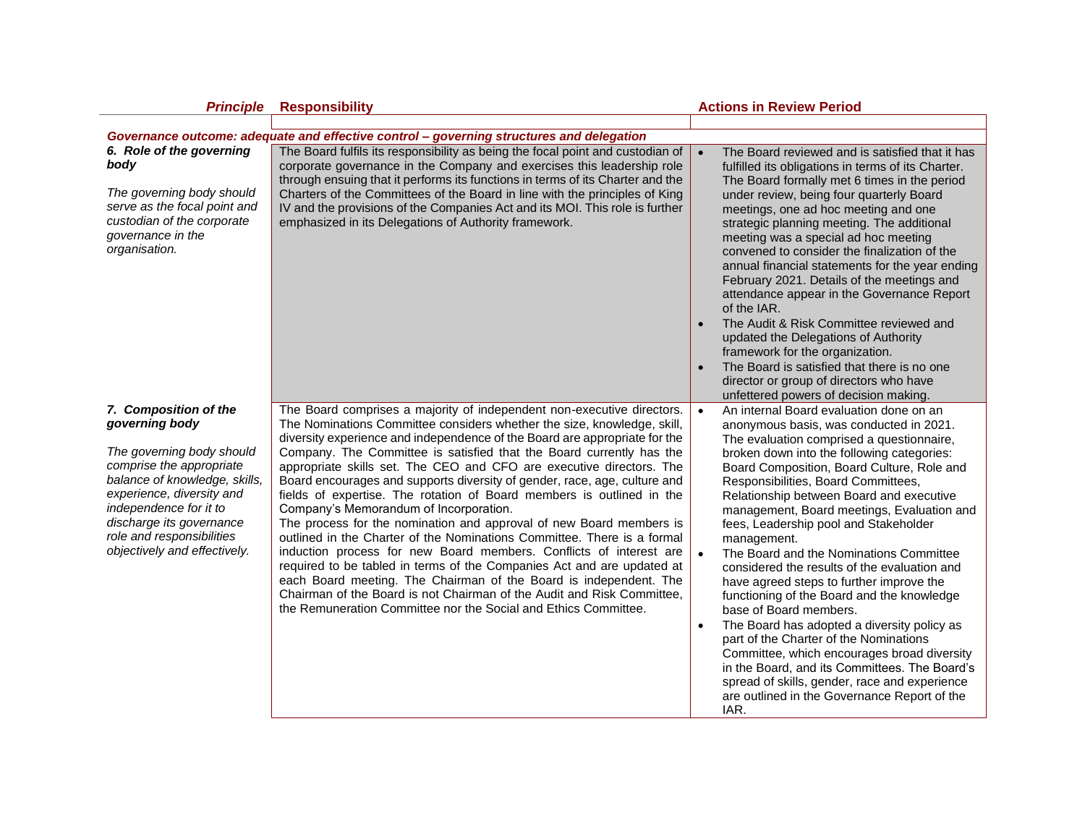| <b>Principle</b>                                                                                                                                                                                                                                                                  | <b>Responsibility</b>                                                                                                                                                                                                                                                                                                                                                                                                                                                                                                                                                                                                                                                                                                                                                                                                                                                                                                                                                                                                                                                                               | <b>Actions in Review Period</b>                                                                                                                                                                                                                                                                                                                                                                                                                                                                                                                                                                                                                                                                                                                                                                                                                                                                                                                                 |
|-----------------------------------------------------------------------------------------------------------------------------------------------------------------------------------------------------------------------------------------------------------------------------------|-----------------------------------------------------------------------------------------------------------------------------------------------------------------------------------------------------------------------------------------------------------------------------------------------------------------------------------------------------------------------------------------------------------------------------------------------------------------------------------------------------------------------------------------------------------------------------------------------------------------------------------------------------------------------------------------------------------------------------------------------------------------------------------------------------------------------------------------------------------------------------------------------------------------------------------------------------------------------------------------------------------------------------------------------------------------------------------------------------|-----------------------------------------------------------------------------------------------------------------------------------------------------------------------------------------------------------------------------------------------------------------------------------------------------------------------------------------------------------------------------------------------------------------------------------------------------------------------------------------------------------------------------------------------------------------------------------------------------------------------------------------------------------------------------------------------------------------------------------------------------------------------------------------------------------------------------------------------------------------------------------------------------------------------------------------------------------------|
|                                                                                                                                                                                                                                                                                   |                                                                                                                                                                                                                                                                                                                                                                                                                                                                                                                                                                                                                                                                                                                                                                                                                                                                                                                                                                                                                                                                                                     |                                                                                                                                                                                                                                                                                                                                                                                                                                                                                                                                                                                                                                                                                                                                                                                                                                                                                                                                                                 |
|                                                                                                                                                                                                                                                                                   | Governance outcome: adequate and effective control - governing structures and delegation                                                                                                                                                                                                                                                                                                                                                                                                                                                                                                                                                                                                                                                                                                                                                                                                                                                                                                                                                                                                            |                                                                                                                                                                                                                                                                                                                                                                                                                                                                                                                                                                                                                                                                                                                                                                                                                                                                                                                                                                 |
| 6. Role of the governing<br>body<br>The governing body should                                                                                                                                                                                                                     | The Board fulfils its responsibility as being the focal point and custodian of<br>corporate governance in the Company and exercises this leadership role<br>through ensuing that it performs its functions in terms of its Charter and the<br>Charters of the Committees of the Board in line with the principles of King                                                                                                                                                                                                                                                                                                                                                                                                                                                                                                                                                                                                                                                                                                                                                                           | The Board reviewed and is satisfied that it has<br>fulfilled its obligations in terms of its Charter.<br>The Board formally met 6 times in the period<br>under review, being four quarterly Board                                                                                                                                                                                                                                                                                                                                                                                                                                                                                                                                                                                                                                                                                                                                                               |
| serve as the focal point and<br>custodian of the corporate<br>governance in the<br>organisation.                                                                                                                                                                                  | IV and the provisions of the Companies Act and its MOI. This role is further<br>emphasized in its Delegations of Authority framework.                                                                                                                                                                                                                                                                                                                                                                                                                                                                                                                                                                                                                                                                                                                                                                                                                                                                                                                                                               | meetings, one ad hoc meeting and one<br>strategic planning meeting. The additional<br>meeting was a special ad hoc meeting<br>convened to consider the finalization of the<br>annual financial statements for the year ending<br>February 2021. Details of the meetings and<br>attendance appear in the Governance Report<br>of the IAR.<br>The Audit & Risk Committee reviewed and<br>$\bullet$                                                                                                                                                                                                                                                                                                                                                                                                                                                                                                                                                                |
|                                                                                                                                                                                                                                                                                   |                                                                                                                                                                                                                                                                                                                                                                                                                                                                                                                                                                                                                                                                                                                                                                                                                                                                                                                                                                                                                                                                                                     | updated the Delegations of Authority<br>framework for the organization.                                                                                                                                                                                                                                                                                                                                                                                                                                                                                                                                                                                                                                                                                                                                                                                                                                                                                         |
|                                                                                                                                                                                                                                                                                   |                                                                                                                                                                                                                                                                                                                                                                                                                                                                                                                                                                                                                                                                                                                                                                                                                                                                                                                                                                                                                                                                                                     | The Board is satisfied that there is no one<br>$\bullet$                                                                                                                                                                                                                                                                                                                                                                                                                                                                                                                                                                                                                                                                                                                                                                                                                                                                                                        |
|                                                                                                                                                                                                                                                                                   |                                                                                                                                                                                                                                                                                                                                                                                                                                                                                                                                                                                                                                                                                                                                                                                                                                                                                                                                                                                                                                                                                                     | director or group of directors who have<br>unfettered powers of decision making.                                                                                                                                                                                                                                                                                                                                                                                                                                                                                                                                                                                                                                                                                                                                                                                                                                                                                |
| 7. Composition of the<br>governing body<br>The governing body should<br>comprise the appropriate<br>balance of knowledge, skills,<br>experience, diversity and<br>independence for it to<br>discharge its governance<br>role and responsibilities<br>objectively and effectively. | The Board comprises a majority of independent non-executive directors.<br>The Nominations Committee considers whether the size, knowledge, skill,<br>diversity experience and independence of the Board are appropriate for the<br>Company. The Committee is satisfied that the Board currently has the<br>appropriate skills set. The CEO and CFO are executive directors. The<br>Board encourages and supports diversity of gender, race, age, culture and<br>fields of expertise. The rotation of Board members is outlined in the<br>Company's Memorandum of Incorporation.<br>The process for the nomination and approval of new Board members is<br>outlined in the Charter of the Nominations Committee. There is a formal<br>induction process for new Board members. Conflicts of interest are<br>required to be tabled in terms of the Companies Act and are updated at<br>each Board meeting. The Chairman of the Board is independent. The<br>Chairman of the Board is not Chairman of the Audit and Risk Committee,<br>the Remuneration Committee nor the Social and Ethics Committee. | An internal Board evaluation done on an<br>$\bullet$<br>anonymous basis, was conducted in 2021.<br>The evaluation comprised a questionnaire,<br>broken down into the following categories:<br>Board Composition, Board Culture, Role and<br>Responsibilities, Board Committees,<br>Relationship between Board and executive<br>management, Board meetings, Evaluation and<br>fees, Leadership pool and Stakeholder<br>management.<br>The Board and the Nominations Committee<br>considered the results of the evaluation and<br>have agreed steps to further improve the<br>functioning of the Board and the knowledge<br>base of Board members.<br>The Board has adopted a diversity policy as<br>$\bullet$<br>part of the Charter of the Nominations<br>Committee, which encourages broad diversity<br>in the Board, and its Committees. The Board's<br>spread of skills, gender, race and experience<br>are outlined in the Governance Report of the<br>IAR. |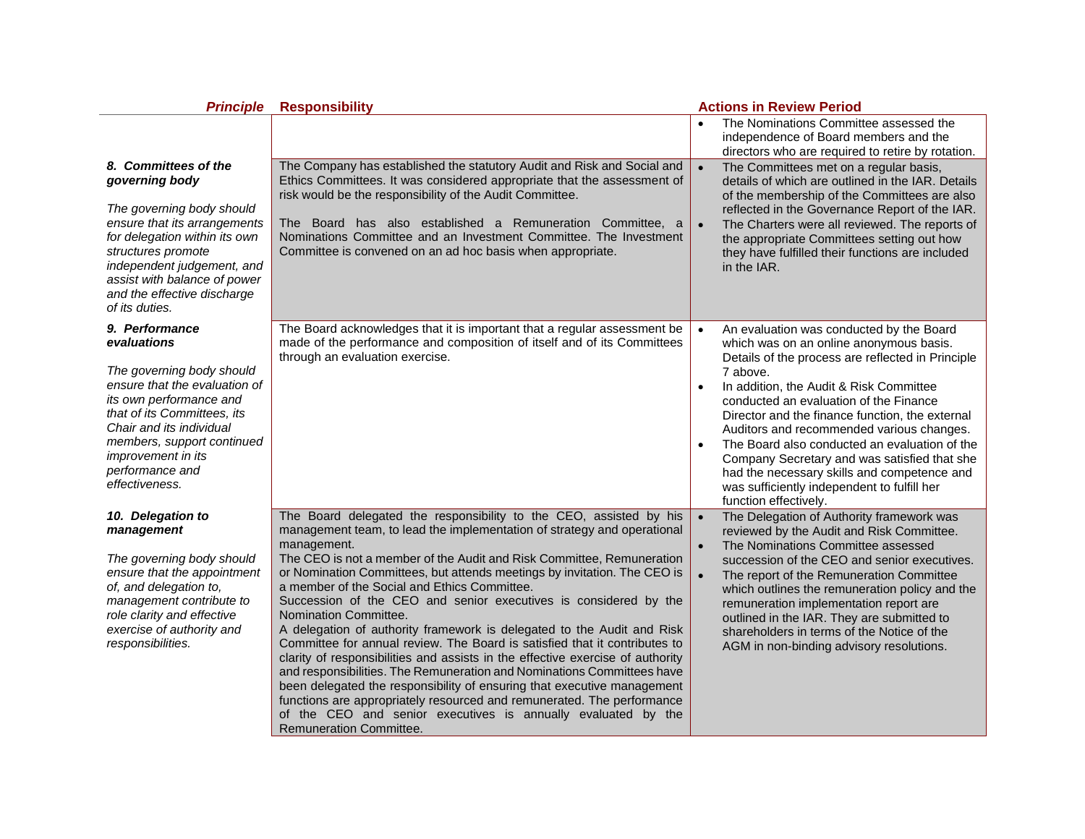| <b>Principle</b>                                                                                                                                                                                                                                                                  | <b>Responsibility</b>                                                                                                                                                                                                                                                                                                                                                                                                                                                                                                                                                                                                                                                                                                                                                                                                                                                                                                                                                                                                                      | <b>Actions in Review Period</b>                                                                                                                                                                                                                                                                                                                                                                                                                                                                                                                                                |
|-----------------------------------------------------------------------------------------------------------------------------------------------------------------------------------------------------------------------------------------------------------------------------------|--------------------------------------------------------------------------------------------------------------------------------------------------------------------------------------------------------------------------------------------------------------------------------------------------------------------------------------------------------------------------------------------------------------------------------------------------------------------------------------------------------------------------------------------------------------------------------------------------------------------------------------------------------------------------------------------------------------------------------------------------------------------------------------------------------------------------------------------------------------------------------------------------------------------------------------------------------------------------------------------------------------------------------------------|--------------------------------------------------------------------------------------------------------------------------------------------------------------------------------------------------------------------------------------------------------------------------------------------------------------------------------------------------------------------------------------------------------------------------------------------------------------------------------------------------------------------------------------------------------------------------------|
|                                                                                                                                                                                                                                                                                   |                                                                                                                                                                                                                                                                                                                                                                                                                                                                                                                                                                                                                                                                                                                                                                                                                                                                                                                                                                                                                                            | The Nominations Committee assessed the<br>independence of Board members and the<br>directors who are required to retire by rotation.                                                                                                                                                                                                                                                                                                                                                                                                                                           |
| 8. Committees of the<br>governing body<br>The governing body should<br>ensure that its arrangements<br>for delegation within its own<br>structures promote<br>independent judgement, and<br>assist with balance of power<br>and the effective discharge<br>of its duties.         | The Company has established the statutory Audit and Risk and Social and<br>Ethics Committees. It was considered appropriate that the assessment of<br>risk would be the responsibility of the Audit Committee.<br>The Board has also established a Remuneration Committee, a<br>Nominations Committee and an Investment Committee. The Investment<br>Committee is convened on an ad hoc basis when appropriate.                                                                                                                                                                                                                                                                                                                                                                                                                                                                                                                                                                                                                            | The Committees met on a regular basis,<br>details of which are outlined in the IAR. Details<br>of the membership of the Committees are also<br>reflected in the Governance Report of the IAR.<br>The Charters were all reviewed. The reports of<br>the appropriate Committees setting out how<br>they have fulfilled their functions are included<br>in the IAR.                                                                                                                                                                                                               |
| 9. Performance<br>evaluations<br>The governing body should<br>ensure that the evaluation of<br>its own performance and<br>that of its Committees, its<br>Chair and its individual<br>members, support continued<br><i>improvement in its</i><br>performance and<br>effectiveness. | The Board acknowledges that it is important that a regular assessment be<br>made of the performance and composition of itself and of its Committees<br>through an evaluation exercise.                                                                                                                                                                                                                                                                                                                                                                                                                                                                                                                                                                                                                                                                                                                                                                                                                                                     | An evaluation was conducted by the Board<br>which was on an online anonymous basis.<br>Details of the process are reflected in Principle<br>7 above.<br>In addition, the Audit & Risk Committee<br>conducted an evaluation of the Finance<br>Director and the finance function, the external<br>Auditors and recommended various changes.<br>The Board also conducted an evaluation of the<br>$\bullet$<br>Company Secretary and was satisfied that she<br>had the necessary skills and competence and<br>was sufficiently independent to fulfill her<br>function effectively. |
| 10. Delegation to<br>management<br>The governing body should<br>ensure that the appointment<br>of, and delegation to,<br>management contribute to<br>role clarity and effective<br>exercise of authority and<br>responsibilities.                                                 | The Board delegated the responsibility to the CEO, assisted by his<br>management team, to lead the implementation of strategy and operational<br>management.<br>The CEO is not a member of the Audit and Risk Committee, Remuneration<br>or Nomination Committees, but attends meetings by invitation. The CEO is<br>a member of the Social and Ethics Committee.<br>Succession of the CEO and senior executives is considered by the<br>Nomination Committee.<br>A delegation of authority framework is delegated to the Audit and Risk<br>Committee for annual review. The Board is satisfied that it contributes to<br>clarity of responsibilities and assists in the effective exercise of authority<br>and responsibilities. The Remuneration and Nominations Committees have<br>been delegated the responsibility of ensuring that executive management<br>functions are appropriately resourced and remunerated. The performance<br>of the CEO and senior executives is annually evaluated by the<br><b>Remuneration Committee.</b> | $\bullet$<br>The Delegation of Authority framework was<br>reviewed by the Audit and Risk Committee.<br>The Nominations Committee assessed<br>succession of the CEO and senior executives.<br>The report of the Remuneration Committee<br>which outlines the remuneration policy and the<br>remuneration implementation report are<br>outlined in the IAR. They are submitted to<br>shareholders in terms of the Notice of the<br>AGM in non-binding advisory resolutions.                                                                                                      |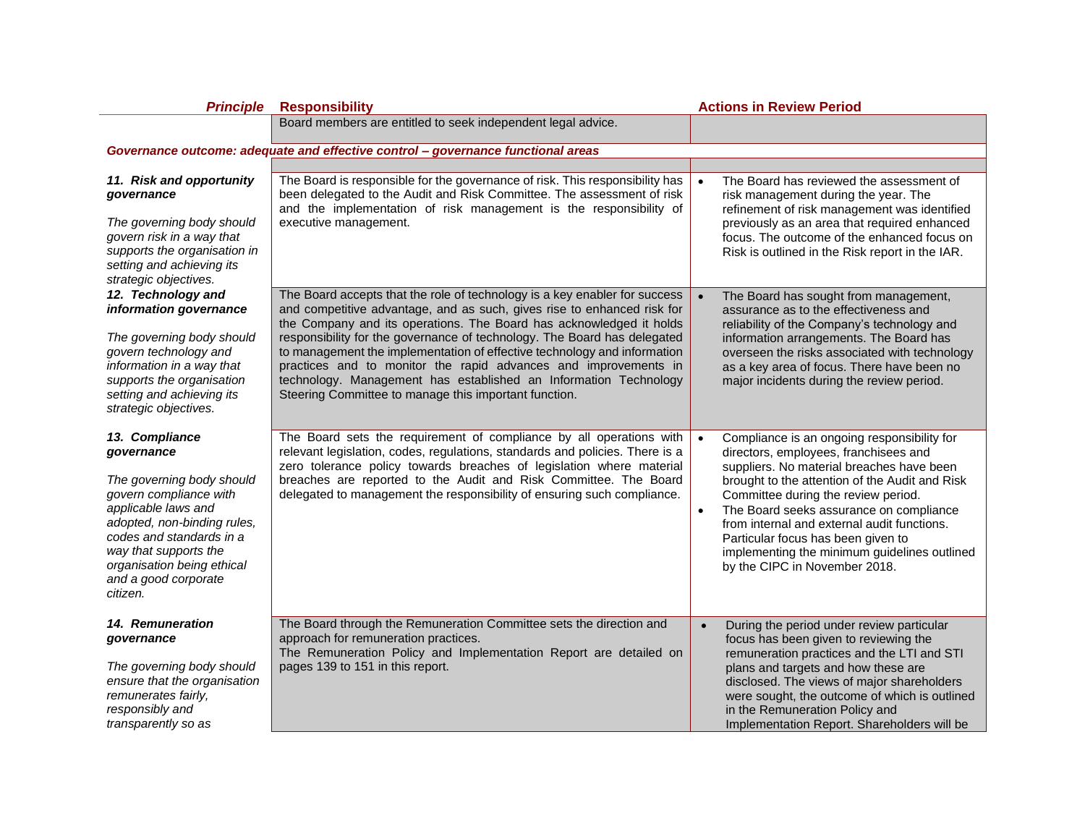| <b>Principle</b>                                                                                                                                                                             | <b>Responsibility</b>                                                                                                                                                                                                                                                                                                                                                                                                                                                                                  | <b>Actions in Review Period</b>                                                                                                                                                                                                                                                    |
|----------------------------------------------------------------------------------------------------------------------------------------------------------------------------------------------|--------------------------------------------------------------------------------------------------------------------------------------------------------------------------------------------------------------------------------------------------------------------------------------------------------------------------------------------------------------------------------------------------------------------------------------------------------------------------------------------------------|------------------------------------------------------------------------------------------------------------------------------------------------------------------------------------------------------------------------------------------------------------------------------------|
|                                                                                                                                                                                              | Board members are entitled to seek independent legal advice.                                                                                                                                                                                                                                                                                                                                                                                                                                           |                                                                                                                                                                                                                                                                                    |
|                                                                                                                                                                                              | Governance outcome: adequate and effective control - governance functional areas                                                                                                                                                                                                                                                                                                                                                                                                                       |                                                                                                                                                                                                                                                                                    |
|                                                                                                                                                                                              |                                                                                                                                                                                                                                                                                                                                                                                                                                                                                                        |                                                                                                                                                                                                                                                                                    |
| 11. Risk and opportunity<br>governance<br>The governing body should<br>govern risk in a way that<br>supports the organisation in<br>setting and achieving its<br>strategic objectives.       | The Board is responsible for the governance of risk. This responsibility has<br>been delegated to the Audit and Risk Committee. The assessment of risk<br>and the implementation of risk management is the responsibility of<br>executive management.                                                                                                                                                                                                                                                  | The Board has reviewed the assessment of<br>risk management during the year. The<br>refinement of risk management was identified<br>previously as an area that required enhanced<br>focus. The outcome of the enhanced focus on<br>Risk is outlined in the Risk report in the IAR. |
| 12. Technology and                                                                                                                                                                           | The Board accepts that the role of technology is a key enabler for success                                                                                                                                                                                                                                                                                                                                                                                                                             | The Board has sought from management,                                                                                                                                                                                                                                              |
| information governance<br>The governing body should<br>govern technology and<br>information in a way that<br>supports the organisation<br>setting and achieving its<br>strategic objectives. | and competitive advantage, and as such, gives rise to enhanced risk for<br>the Company and its operations. The Board has acknowledged it holds<br>responsibility for the governance of technology. The Board has delegated<br>to management the implementation of effective technology and information<br>practices and to monitor the rapid advances and improvements in<br>technology. Management has established an Information Technology<br>Steering Committee to manage this important function. | assurance as to the effectiveness and<br>reliability of the Company's technology and<br>information arrangements. The Board has<br>overseen the risks associated with technology<br>as a key area of focus. There have been no<br>major incidents during the review period.        |
| 13. Compliance<br>governance                                                                                                                                                                 | The Board sets the requirement of compliance by all operations with<br>relevant legislation, codes, regulations, standards and policies. There is a                                                                                                                                                                                                                                                                                                                                                    | $\bullet$<br>Compliance is an ongoing responsibility for<br>directors, employees, franchisees and                                                                                                                                                                                  |
| The governing body should<br>govern compliance with                                                                                                                                          | zero tolerance policy towards breaches of legislation where material<br>breaches are reported to the Audit and Risk Committee. The Board<br>delegated to management the responsibility of ensuring such compliance.                                                                                                                                                                                                                                                                                    | suppliers. No material breaches have been<br>brought to the attention of the Audit and Risk<br>Committee during the review period.                                                                                                                                                 |
| applicable laws and<br>adopted, non-binding rules,<br>codes and standards in a<br>way that supports the<br>organisation being ethical<br>and a good corporate<br>citizen.                    |                                                                                                                                                                                                                                                                                                                                                                                                                                                                                                        | The Board seeks assurance on compliance<br>$\bullet$<br>from internal and external audit functions.<br>Particular focus has been given to<br>implementing the minimum guidelines outlined<br>by the CIPC in November 2018.                                                         |
| 14. Remuneration<br>governance                                                                                                                                                               | The Board through the Remuneration Committee sets the direction and<br>approach for remuneration practices.                                                                                                                                                                                                                                                                                                                                                                                            | During the period under review particular<br>$\bullet$<br>focus has been given to reviewing the                                                                                                                                                                                    |
| The governing body should<br>ensure that the organisation<br>remunerates fairly,<br>responsibly and<br>transparently so as                                                                   | The Remuneration Policy and Implementation Report are detailed on<br>pages 139 to 151 in this report.                                                                                                                                                                                                                                                                                                                                                                                                  | remuneration practices and the LTI and STI<br>plans and targets and how these are<br>disclosed. The views of major shareholders<br>were sought, the outcome of which is outlined<br>in the Remuneration Policy and<br>Implementation Report. Shareholders will be                  |